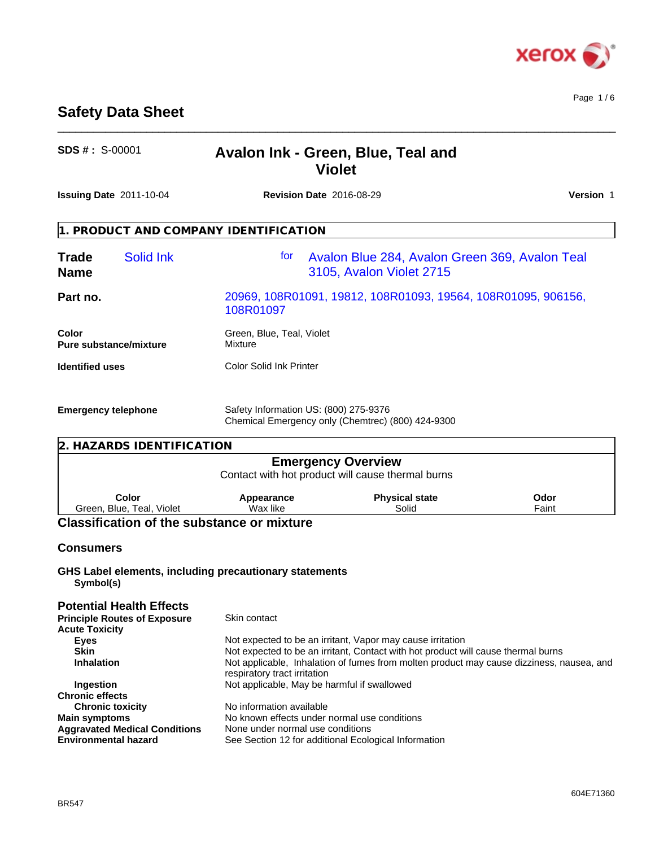

# **Safety Data Sheet**

| <b>SDS # : S-00001</b> | Avalon Ink - Green, Blue, Teal and |  |
|------------------------|------------------------------------|--|
|                        | <b>Violet</b>                      |  |

 $\_$  ,  $\_$  ,  $\_$  ,  $\_$  ,  $\_$  ,  $\_$  ,  $\_$  ,  $\_$  ,  $\_$  ,  $\_$  ,  $\_$  ,  $\_$  ,  $\_$  ,  $\_$  ,  $\_$  ,  $\_$  ,  $\_$  ,  $\_$  ,  $\_$  ,  $\_$  ,  $\_$  ,  $\_$  ,  $\_$  ,  $\_$  ,  $\_$  ,  $\_$  ,  $\_$  ,  $\_$  ,  $\_$  ,  $\_$  ,  $\_$  ,  $\_$  ,  $\_$  ,  $\_$  ,  $\_$  ,  $\_$  ,  $\_$  ,

|                             | <b>Issuing Date 2011-10-04</b><br><b>Revision Date 2016-08-29</b> |                                                                            |                                                                                | Version 1 |
|-----------------------------|-------------------------------------------------------------------|----------------------------------------------------------------------------|--------------------------------------------------------------------------------|-----------|
|                             |                                                                   | 1. PRODUCT AND COMPANY IDENTIFICATION                                      |                                                                                |           |
| <b>Trade</b><br><b>Name</b> | <b>Solid Ink</b>                                                  | for                                                                        | Avalon Blue 284, Avalon Green 369, Avalon Teal<br>3105, Avalon Violet 2715     |           |
| Part no.                    |                                                                   | 20969, 108R01091, 19812, 108R01093, 19564, 108R01095, 906156,<br>108R01097 |                                                                                |           |
| Color                       | Pure substance/mixture                                            | Green, Blue, Teal, Violet<br>Mixture                                       |                                                                                |           |
| <b>Identified uses</b>      |                                                                   | <b>Color Solid Ink Printer</b>                                             |                                                                                |           |
| <b>Emergency telephone</b>  |                                                                   | Safety Information US: (800) 275-9376                                      | Chemical Emergency only (Chemtrec) (800) 424-9300                              |           |
|                             | 2. HAZARDS IDENTIFICATION                                         |                                                                            |                                                                                |           |
|                             |                                                                   |                                                                            | <b>Emergency Overview</b><br>Contact with hot product will cause thermal burns |           |
|                             | Color                                                             | Appearance                                                                 | <b>Physical state</b><br>Odor                                                  |           |

#### Green, Blue, Teal, Violet **Appearance** Wax like **Physical state** Solid

# **Classification of the substance or mixture**

# **Consumers**

**GHS Label elements, including precautionary statements Symbol(s)**

#### **Potential Health Effects Principle Routes of Exposure** Skin contact **Acute Toxicity Eyes** Eves **Not expected to be an irritant, Vapor may cause irritation** Skin<br> **Skin** Not expected to be an irritant, Contact with hot product will cause thermal burns<br>
Not applicable, Inhalation of fumes from molten product may cause dizziness, n **Inhalation** Not applicable, Inhalation of fumes from molten product may cause dizziness, nausea, and respiratory tract irritation **Ingestion** Not applicable, May be harmful if swallowed **Chronic effects Chronic toxicity** No information available<br> **Main symptoms** No known effects under No known effects under normal use conditions<br>None under normal use conditions **Aggravated Medical Conditions**<br> **Environmental hazard See Section 12 for additional Ecological Information**

Faint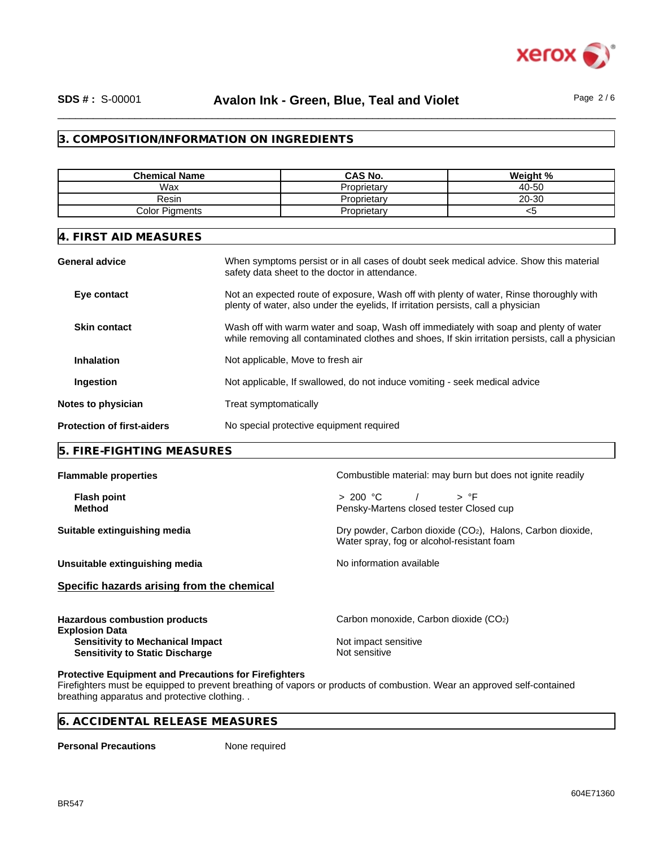

## **3. COMPOSITION/INFORMATION ON INGREDIENTS**

| <b>Chemical Name</b>                                                                                                          |                                                                                                                                                                                           | <b>CAS No.</b>                                                                                                                           | Weight %                                                                                                                                                                     |  |  |
|-------------------------------------------------------------------------------------------------------------------------------|-------------------------------------------------------------------------------------------------------------------------------------------------------------------------------------------|------------------------------------------------------------------------------------------------------------------------------------------|------------------------------------------------------------------------------------------------------------------------------------------------------------------------------|--|--|
| Wax                                                                                                                           |                                                                                                                                                                                           | Proprietary                                                                                                                              | 40-50                                                                                                                                                                        |  |  |
| Resin                                                                                                                         |                                                                                                                                                                                           | Proprietary                                                                                                                              | 20-30                                                                                                                                                                        |  |  |
| <b>Color Pigments</b>                                                                                                         |                                                                                                                                                                                           | Proprietary                                                                                                                              | $<$ 5                                                                                                                                                                        |  |  |
| 4. FIRST AID MEASURES                                                                                                         |                                                                                                                                                                                           |                                                                                                                                          |                                                                                                                                                                              |  |  |
| <b>General advice</b>                                                                                                         |                                                                                                                                                                                           | When symptoms persist or in all cases of doubt seek medical advice. Show this material<br>safety data sheet to the doctor in attendance. |                                                                                                                                                                              |  |  |
| Eye contact                                                                                                                   |                                                                                                                                                                                           |                                                                                                                                          | Not an expected route of exposure, Wash off with plenty of water, Rinse thoroughly with<br>plenty of water, also under the eyelids, If irritation persists, call a physician |  |  |
| <b>Skin contact</b>                                                                                                           | Wash off with warm water and soap, Wash off immediately with soap and plenty of water<br>while removing all contaminated clothes and shoes, If skin irritation persists, call a physician |                                                                                                                                          |                                                                                                                                                                              |  |  |
| <b>Inhalation</b><br>Not applicable, Move to fresh air                                                                        |                                                                                                                                                                                           |                                                                                                                                          |                                                                                                                                                                              |  |  |
| Ingestion                                                                                                                     |                                                                                                                                                                                           |                                                                                                                                          | Not applicable, If swallowed, do not induce vomiting - seek medical advice                                                                                                   |  |  |
| Notes to physician                                                                                                            | Treat symptomatically                                                                                                                                                                     |                                                                                                                                          |                                                                                                                                                                              |  |  |
| <b>Protection of first-aiders</b>                                                                                             | No special protective equipment required                                                                                                                                                  |                                                                                                                                          |                                                                                                                                                                              |  |  |
| 5. FIRE-FIGHTING MEASURES                                                                                                     |                                                                                                                                                                                           |                                                                                                                                          |                                                                                                                                                                              |  |  |
| <b>Flammable properties</b>                                                                                                   |                                                                                                                                                                                           |                                                                                                                                          | Combustible material: may burn but does not ignite readily                                                                                                                   |  |  |
| <b>Flash point</b><br><b>Method</b>                                                                                           |                                                                                                                                                                                           | > 200 °C<br>Pensky-Martens closed tester Closed cup                                                                                      | > °F                                                                                                                                                                         |  |  |
| Suitable extinguishing media                                                                                                  |                                                                                                                                                                                           |                                                                                                                                          | Dry powder, Carbon dioxide (CO <sub>2</sub> ), Halons, Carbon dioxide,<br>Water spray, fog or alcohol-resistant foam                                                         |  |  |
| Unsuitable extinguishing media                                                                                                |                                                                                                                                                                                           | No information available                                                                                                                 |                                                                                                                                                                              |  |  |
| Specific hazards arising from the chemical                                                                                    |                                                                                                                                                                                           |                                                                                                                                          |                                                                                                                                                                              |  |  |
|                                                                                                                               |                                                                                                                                                                                           | Carbon monoxide, Carbon dioxide (CO2)                                                                                                    |                                                                                                                                                                              |  |  |
| <b>Sensitivity to Mechanical Impact</b><br><b>Sensitivity to Static Discharge</b>                                             |                                                                                                                                                                                           | Not impact sensitive<br>Not sensitive                                                                                                    |                                                                                                                                                                              |  |  |
| <b>Hazardous combustion products</b><br><b>Explosion Data</b><br><b>Protective Equipment and Precautions for Firefighters</b> |                                                                                                                                                                                           | Firefighters must be equipped to prevent breathing of vapors or products of combustion. Wear an approved self-contained                  |                                                                                                                                                                              |  |  |

Firefighters must be equipped to prevent breathing of vapors or products of combustion. Wear an approved self-contained breathing apparatus and protective clothing. .

## **6. ACCIDENTAL RELEASE MEASURES**

**Personal Precautions** None required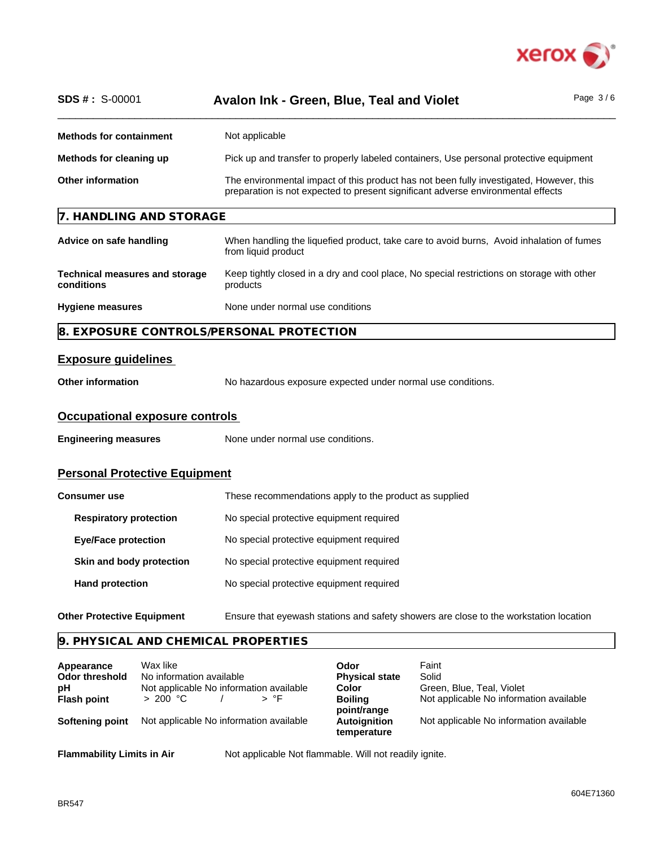

| <b>SDS #: S-00001</b>                               | Page $3/6$<br>Avalon Ink - Green, Blue, Teal and Violet                                                                                                                     |
|-----------------------------------------------------|-----------------------------------------------------------------------------------------------------------------------------------------------------------------------------|
| <b>Methods for containment</b>                      | Not applicable                                                                                                                                                              |
| Methods for cleaning up                             | Pick up and transfer to properly labeled containers, Use personal protective equipment                                                                                      |
| <b>Other information</b>                            | The environmental impact of this product has not been fully investigated, However, this<br>preparation is not expected to present significant adverse environmental effects |
| 7. HANDLING AND STORAGE                             |                                                                                                                                                                             |
| Advice on safe handling                             | When handling the liquefied product, take care to avoid burns, Avoid inhalation of fumes<br>from liquid product                                                             |
| <b>Technical measures and storage</b><br>conditions | Keep tightly closed in a dry and cool place, No special restrictions on storage with other<br>products                                                                      |
| <b>Hygiene measures</b>                             | None under normal use conditions                                                                                                                                            |
| 8. EXPOSURE CONTROLS/PERSONAL PROTECTION            |                                                                                                                                                                             |
| <b>Exposure guidelines</b>                          |                                                                                                                                                                             |
| <b>Other information</b>                            | No hazardous exposure expected under normal use conditions.                                                                                                                 |
| <b>Occupational exposure controls</b>               |                                                                                                                                                                             |
| <b>Engineering measures</b>                         | None under normal use conditions.                                                                                                                                           |
| <b>Personal Protective Equipment</b>                |                                                                                                                                                                             |
| <b>Consumer use</b>                                 | These recommendations apply to the product as supplied                                                                                                                      |
| <b>Respiratory protection</b>                       | No special protective equipment required                                                                                                                                    |
| <b>Eye/Face protection</b>                          | No special protective equipment required                                                                                                                                    |
|                                                     |                                                                                                                                                                             |
| Skin and body protection                            | No special protective equipment required                                                                                                                                    |
| <b>Hand protection</b>                              | No special protective equipment required                                                                                                                                    |
| <b>Other Protective Equipment</b>                   | Ensure that eyewash stations and safety showers are close to the workstation location                                                                                       |

| Appearance            | Wax like                                | Odor                               | Faint                                   |
|-----------------------|-----------------------------------------|------------------------------------|-----------------------------------------|
| <b>Odor threshold</b> | No information available                | <b>Physical state</b>              | Solid                                   |
| рH                    | Not applicable No information available | Color                              | Green, Blue, Teal, Violet               |
| <b>Flash point</b>    | > 200 °C                                | <b>Boiling</b><br>point/range      | Not applicable No information available |
| Softening point       | Not applicable No information available | <b>Autoignition</b><br>temperature | Not applicable No information available |
|                       |                                         |                                    |                                         |

**Flammability Limits in Air** Not applicable Not flammable. Will not readily ignite.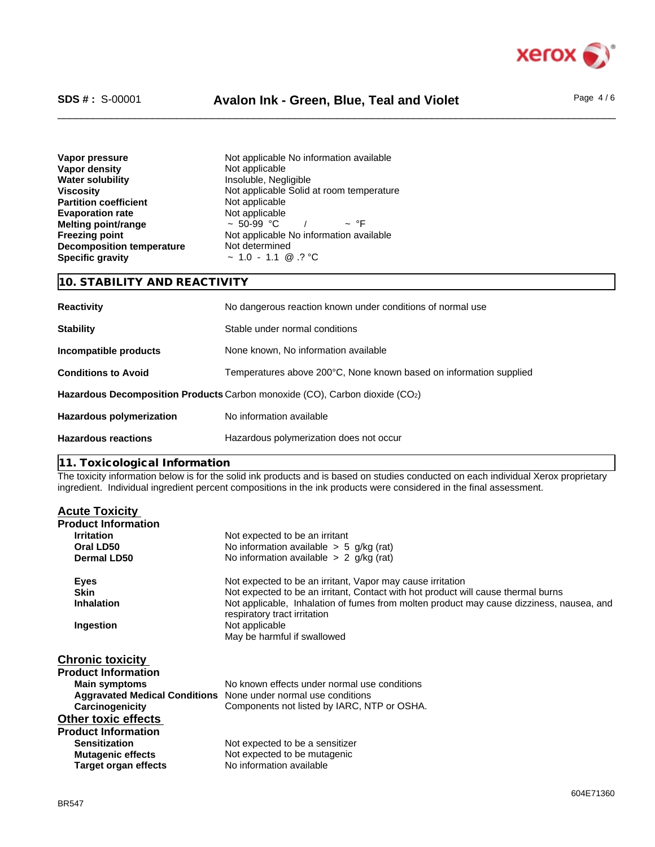

# \_\_\_\_\_\_\_\_\_\_\_\_\_\_\_\_\_\_\_\_\_\_\_\_\_\_\_\_\_\_\_\_\_\_\_\_\_\_\_\_\_\_\_\_\_\_\_\_\_\_\_\_\_\_\_\_\_\_\_\_\_\_\_\_\_\_\_\_\_\_\_\_\_\_\_\_\_\_\_\_\_\_\_\_\_\_\_\_\_\_\_\_\_\_ **SDS # :** S-00001 **Avalon Ink - Green, Blue, Teal and Violet** Page 4 / 6

| Vapor pressure                   |
|----------------------------------|
| <b>Vapor density</b>             |
| <b>Water solubility</b>          |
| <b>Viscosity</b>                 |
| <b>Partition coefficient</b>     |
| <b>Evaporation rate</b>          |
| Melting point/range              |
| <b>Freezing point</b>            |
| <b>Decomposition temperature</b> |
| <b>Specific gravity</b>          |

Not applicable No information available **Not applicable Insoluble**, Negligible Not applicable Solid at room temperature **Not applicable** Not applicable<br> $\approx$  50-99 °C /  $\approx$  °F  $\sim$  50-99 °C / Not applicable No information available **Not determined Specific gravity** ~ 1.0 - 1.1 @ .? °C

| 10. STABILITY AND REACTIVITY |                                                                             |  |
|------------------------------|-----------------------------------------------------------------------------|--|
| <b>Reactivity</b>            | No dangerous reaction known under conditions of normal use                  |  |
| <b>Stability</b>             | Stable under normal conditions                                              |  |
| Incompatible products        | None known, No information available                                        |  |
| <b>Conditions to Avoid</b>   | Temperatures above 200°C, None known based on information supplied          |  |
|                              | Hazardous Decomposition Products Carbon monoxide (CO), Carbon dioxide (CO2) |  |
| Hazardous polymerization     | No information available                                                    |  |
| <b>Hazardous reactions</b>   | Hazardous polymerization does not occur                                     |  |

**11. Toxicological Information**

The toxicity information below is for the solid ink products and is based on studies conducted on each individual Xerox proprietary ingredient. Individual ingredient percent compositions in the ink products were considered in the final assessment.

| <b>Acute Toxicity</b>      |                                                                                                                          |
|----------------------------|--------------------------------------------------------------------------------------------------------------------------|
| <b>Product Information</b> |                                                                                                                          |
| <b>Irritation</b>          | Not expected to be an irritant                                                                                           |
| Oral LD50                  | No information available $> 5$ g/kg (rat)                                                                                |
| Dermal LD50                | No information available $> 2$ g/kg (rat)                                                                                |
| <b>Eyes</b>                | Not expected to be an irritant, Vapor may cause irritation                                                               |
| <b>Skin</b>                | Not expected to be an irritant, Contact with hot product will cause thermal burns                                        |
| <b>Inhalation</b>          | Not applicable, Inhalation of fumes from molten product may cause dizziness, nausea, and<br>respiratory tract irritation |
| Ingestion                  | Not applicable<br>May be harmful if swallowed                                                                            |
| <b>Chronic toxicity</b>    |                                                                                                                          |
| <b>Product Information</b> |                                                                                                                          |
| <b>Main symptoms</b>       | No known effects under normal use conditions                                                                             |
|                            | <b>Aggravated Medical Conditions</b> None under normal use conditions                                                    |
| Carcinogenicity            | Components not listed by IARC, NTP or OSHA.                                                                              |
| <b>Other toxic effects</b> |                                                                                                                          |
| <b>Product Information</b> |                                                                                                                          |
| <b>Sensitization</b>       | Not expected to be a sensitizer                                                                                          |
| <b>Mutagenic effects</b>   | Not expected to be mutagenic                                                                                             |
| Target organ effects       | No information available                                                                                                 |
|                            |                                                                                                                          |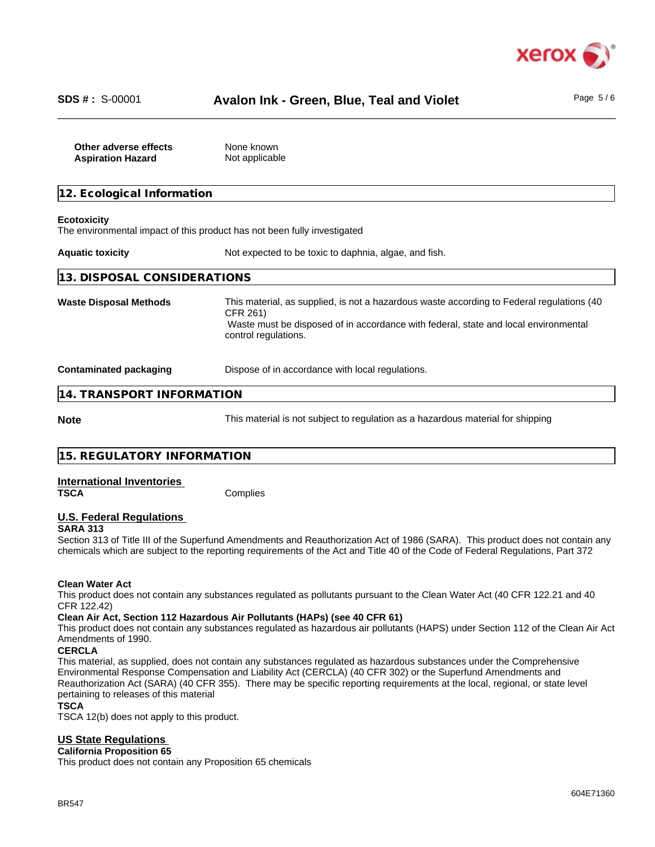

| Other adverse effects    | None known     |
|--------------------------|----------------|
| <b>Aspiration Hazard</b> | Not applicable |

| 12. Ecological Information    |                                                                                                                                                                                                                       |  |  |
|-------------------------------|-----------------------------------------------------------------------------------------------------------------------------------------------------------------------------------------------------------------------|--|--|
| <b>Ecotoxicity</b>            | The environmental impact of this product has not been fully investigated                                                                                                                                              |  |  |
| <b>Aquatic toxicity</b>       | Not expected to be toxic to daphnia, algae, and fish.                                                                                                                                                                 |  |  |
| 13. DISPOSAL CONSIDERATIONS   |                                                                                                                                                                                                                       |  |  |
| <b>Waste Disposal Methods</b> | This material, as supplied, is not a hazardous waste according to Federal regulations (40)<br>CFR 261)<br>Waste must be disposed of in accordance with federal, state and local environmental<br>control regulations. |  |  |
| <b>Contaminated packaging</b> | Dispose of in accordance with local regulations.                                                                                                                                                                      |  |  |
| 14. TRANSPORT INFORMATION     |                                                                                                                                                                                                                       |  |  |
| <b>Note</b>                   | This material is not subject to regulation as a hazardous material for shipping                                                                                                                                       |  |  |

| 15. REGULATORY INFORMATION |  |
|----------------------------|--|
|                            |  |

# **International Inventories**

**Complies** 

# **U.S. Federal Regulations**

**SARA 313**

Section 313 of Title III of the Superfund Amendments and Reauthorization Act of 1986 (SARA). This product does not contain any chemicals which are subject to the reporting requirements of the Act and Title 40 of the Code of Federal Regulations, Part 372

### **Clean Water Act**

This product does not contain any substances regulated as pollutants pursuant to the Clean Water Act (40 CFR 122.21 and 40 CFR 122.42)

### **Clean Air Act,Section 112 Hazardous Air Pollutants (HAPs) (see 40 CFR 61)**

This product does not contain any substances regulated as hazardous air pollutants (HAPS) under Section 112 of the Clean Air Act Amendments of 1990.

### **CERCLA**

This material, as supplied, does not contain any substances regulated as hazardous substances under the Comprehensive Environmental Response Compensation and Liability Act (CERCLA) (40 CFR 302) or the Superfund Amendments and Reauthorization Act (SARA) (40 CFR 355). There may be specific reporting requirements at the local, regional, or state level pertaining to releases of this material

### **TSCA**

TSCA 12(b) does not apply to this product.

### **US State Regulations**

#### **California Proposition 65**

This product does not contain any Proposition 65 chemicals